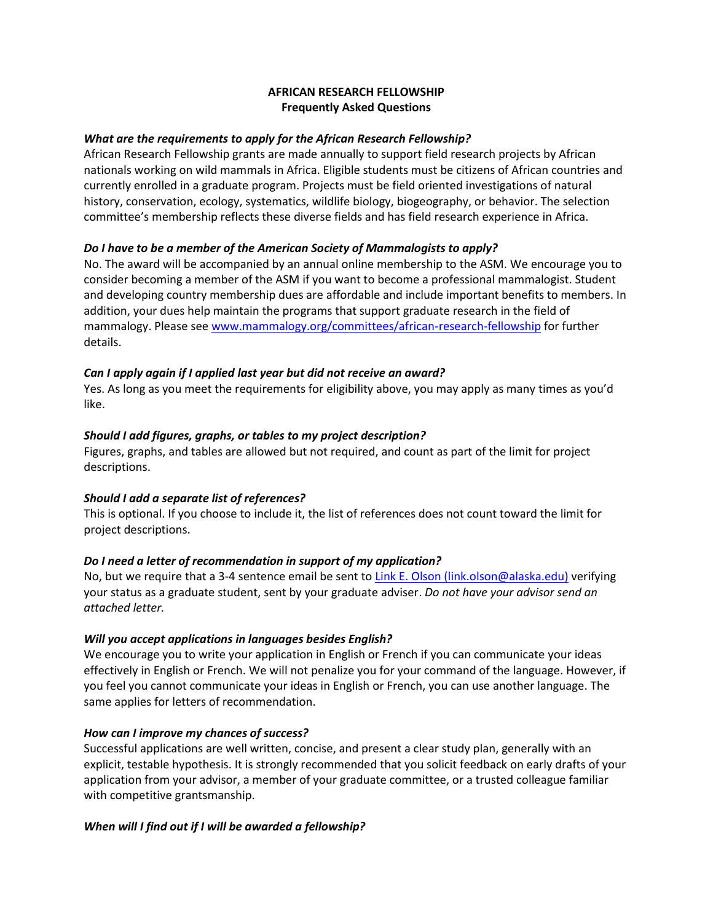# **AFRICAN RESEARCH FELLOWSHIP Frequently Asked Questions**

### *What are the requirements to apply for the African Research Fellowship?*

African Research Fellowship grants are made annually to support field research projects by African nationals working on wild mammals in Africa. Eligible students must be citizens of African countries and currently enrolled in a graduate program. Projects must be field oriented investigations of natural history, conservation, ecology, systematics, wildlife biology, biogeography, or behavior. The selection committee's membership reflects these diverse fields and has field research experience in Africa.

#### *Do I have to be a member of the American Society of Mammalogists to apply?*

No. The award will be accompanied by an annual online membership to the ASM. We encourage you to consider becoming a member of the ASM if you want to become a professional mammalogist. Student and developing country membership dues are affordable and include important benefits to members. In addition, your dues help maintain the programs that support graduate research in the field of mammalogy. Please se[e www.mammalogy.org/committees/african-research-fellowship](https://www.mammalogy.org/committees/african-research-fellowship) for further details.

## *Can I apply again if I applied last year but did not receive an award?*

Yes. As long as you meet the requirements for eligibility above, you may apply as many times as you'd like.

#### *Should I add figures, graphs, or tables to my project description?*

Figures, graphs, and tables are allowed but not required, and count as part of the limit for project descriptions.

## *Should I add a separate list of references?*

This is optional. If you choose to include it, the list of references does not count toward the limit for project descriptions.

## *Do I need a letter of recommendation in support of my application?*

No, but we require that a 3-4 sentence email be sent to Link E. Olson (link.olson@alaska.edu) verifying your status as a graduate student, sent by your graduate adviser. *Do not have your advisor send an attached letter.*

#### *Will you accept applications in languages besides English?*

We encourage you to write your application in English or French if you can communicate your ideas effectively in English or French. We will not penalize you for your command of the language. However, if you feel you cannot communicate your ideas in English or French, you can use another language. The same applies for letters of recommendation.

#### *How can I improve my chances of success?*

Successful applications are well written, concise, and present a clear study plan, generally with an explicit, testable hypothesis. It is strongly recommended that you solicit feedback on early drafts of your application from your advisor, a member of your graduate committee, or a trusted colleague familiar with competitive grantsmanship.

#### *When will I find out if I will be awarded a fellowship?*